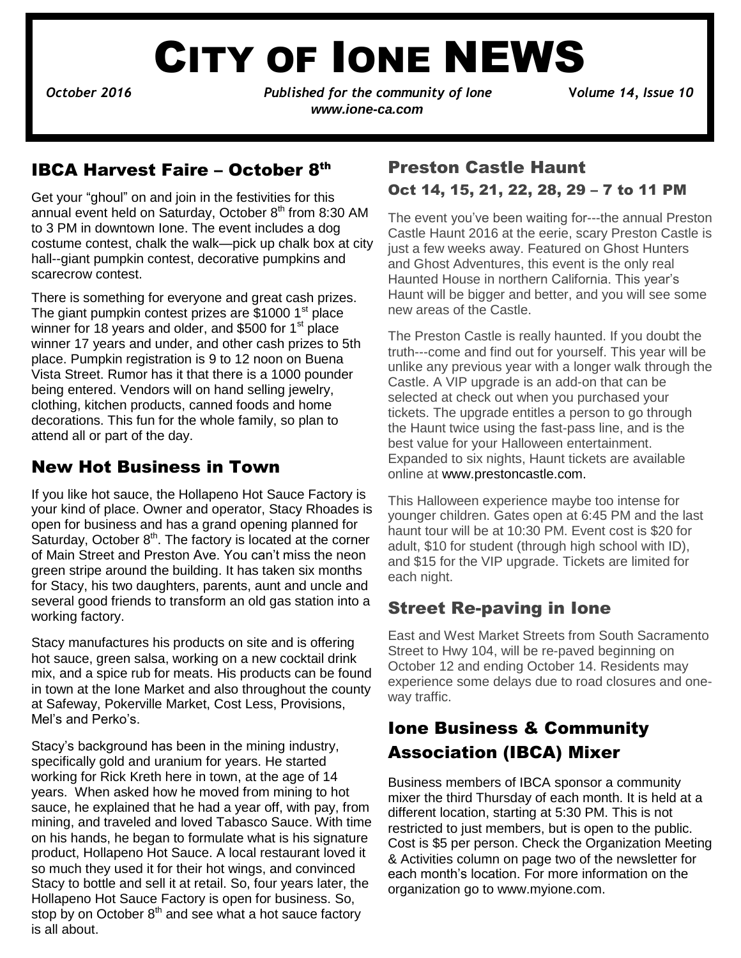# CITY OF IONE NEWS

 $\ddot{\phantom{0}}$ 

*October 2016 Published for the community of Ione* **V***olume 14, Issue 10 www.ione-ca.com*

#### IBCA Harvest Faire – October 8th

Get your "ghoul" on and join in the festivities for this annual event held on Saturday, October  $8<sup>th</sup>$  from 8:30 AM to 3 PM in downtown Ione. The event includes a dog costume contest, chalk the walk—pick up chalk box at city hall--giant pumpkin contest, decorative pumpkins and scarecrow contest.

 place. Pumpkin registration is 9 to 12 noon on Buena There is something for everyone and great cash prizes. The giant pumpkin contest prizes are  $$10001<sup>st</sup>$  place winner for 18 years and older, and \$500 for 1<sup>st</sup> place winner 17 years and under, and other cash prizes to 5th Vista Street. Rumor has it that there is a 1000 pounder being entered. Vendors will on hand selling jewelry, clothing, kitchen products, canned foods and home decorations. This fun for the whole family, so plan to attend all or part of the day.

#### New Hot Business in Town

If you like hot sauce, the Hollapeno Hot Sauce Factory is your kind of place. Owner and operator, Stacy Rhoades is open for business and has a grand opening planned for Saturday, October  $8<sup>th</sup>$ . The factory is located at the corner of Main Street and Preston Ave. You can't miss the neon green stripe around the building. It has taken six months for Stacy, his two daughters, parents, aunt and uncle and several good friends to transform an old gas station into a working factory.

Stacy manufactures his products on site and is offering hot sauce, green salsa, working on a new cocktail drink mix, and a spice rub for meats. His products can be found in town at the Ione Market and also throughout the county at Safeway, Pokerville Market, Cost Less, Provisions, Mel's and Perko's.

 Stacy to bottle and sell it at retail. So, four years later, the Stacy's background has been in the mining industry, specifically gold and uranium for years. He started working for Rick Kreth here in town, at the age of 14 years. When asked how he moved from mining to hot sauce, he explained that he had a year off, with pay, from mining, and traveled and loved Tabasco Sauce. With time on his hands, he began to formulate what is his signature product, Hollapeno Hot Sauce. A local restaurant loved it so much they used it for their hot wings, and convinced Hollapeno Hot Sauce Factory is open for business. So, stop by on October  $8<sup>th</sup>$  and see what a hot sauce factory is all about.

### Preston Castle Haunt Oct 14, 15, 21, 22, 28, 29 – 7 to 11 PM

The event you've been waiting for---the annual Preston Castle Haunt 2016 at the eerie, scary Preston Castle is just a few weeks away. Featured on Ghost Hunters and Ghost Adventures, this event is the only real Haunted House in northern California. This year's Haunt will be bigger and better, and you will see some new areas of the Castle.

The Preston Castle is really haunted. If you doubt the truth---come and find out for yourself. This year will be unlike any previous year with a longer walk through the Castle. A VIP upgrade is an add-on that can be selected at check out when you purchased your tickets. The upgrade entitles a person to go through the Haunt twice using the fast-pass line, and is the best value for your Halloween entertainment. Expanded to six nights, Haunt tickets are available online at [www.prestoncastle.com.](http://www.prestoncastle.com/)

This Halloween experience maybe too intense for younger children. Gates open at 6:45 PM and the last haunt tour will be at 10:30 PM. Event cost is \$20 for adult, \$10 for student (through high school with ID), and \$15 for the VIP upgrade. Tickets are limited for each night.

#### Street Re-paving in Ione

East and West Market Streets from South Sacramento Street to Hwy 104, will be re-paved beginning on October 12 and ending October 14. Residents may experience some delays due to road closures and oneway traffic.

# Ione Business & Community Association (IBCA) Mixer

Business members of IBCA sponsor a community mixer the third Thursday of each month. It is held at a different location, starting at 5:30 PM. This is not restricted to just members, but is open to the public. Cost is \$5 per person. Check the Organization Meeting & Activities column on page two of the newsletter for each month's location. For more information on the organization go to [www.myione.com.](http://www.myione.com/)